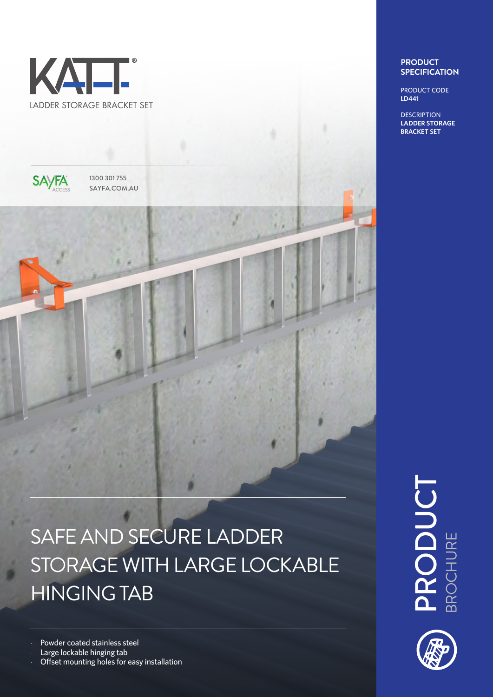



1300 301 755 SAYFA.COM.AU

# SAFE AND SECURE LADDER STORAGE WITH LARGE LOCKABLE HINGING TAB

Powder coated stainless steel

Large lockable hinging tab

Offset mounting holes for easy installation

### **PRODUCT SPECIFICATION**

PRODUCT CODE **LD441**

**DESCRIPTION LADDER STORAGE BRACKET SET**